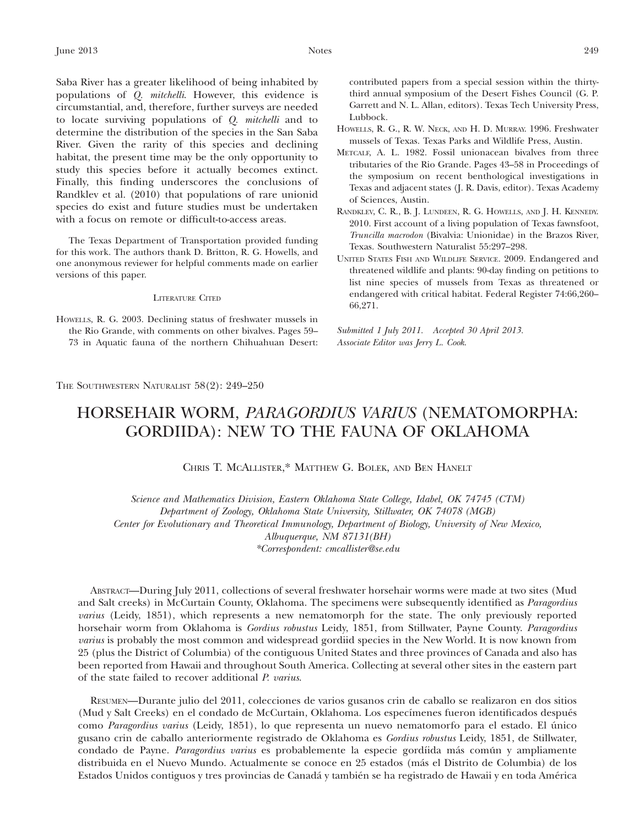Saba River has a greater likelihood of being inhabited by populations of Q. mitchelli. However, this evidence is circumstantial, and, therefore, further surveys are needed to locate surviving populations of Q. mitchelli and to determine the distribution of the species in the San Saba River. Given the rarity of this species and declining habitat, the present time may be the only opportunity to study this species before it actually becomes extinct. Finally, this finding underscores the conclusions of Randklev et al. (2010) that populations of rare unionid species do exist and future studies must be undertaken with a focus on remote or difficult-to-access areas.

The Texas Department of Transportation provided funding for this work. The authors thank D. Britton, R. G. Howells, and one anonymous reviewer for helpful comments made on earlier versions of this paper.

## LITERATURE CITED

HOWELLS, R. G. 2003. Declining status of freshwater mussels in the Rio Grande, with comments on other bivalves. Pages 59– 73 in Aquatic fauna of the northern Chihuahuan Desert: contributed papers from a special session within the thirtythird annual symposium of the Desert Fishes Council (G. P. Garrett and N. L. Allan, editors). Texas Tech University Press, Lubbock.

- HOWELLS, R. G., R. W. NECK, AND H. D. MURRAY. 1996. Freshwater mussels of Texas. Texas Parks and Wildlife Press, Austin.
- METCALF, A. L. 1982. Fossil unionacean bivalves from three tributaries of the Rio Grande. Pages 43–58 in Proceedings of the symposium on recent benthological investigations in Texas and adjacent states (J. R. Davis, editor). Texas Academy of Sciences, Austin.
- RANDKLEV, C. R., B. J. LUNDEEN, R. G. HOWELLS, AND J. H. KENNEDY. 2010. First account of a living population of Texas fawnsfoot, Truncilla macrodon (Bivalvia: Unionidae) in the Brazos River, Texas. Southwestern Naturalist 55:297–298.
- UNITED STATES FISH AND WILDLIFE SERVICE. 2009. Endangered and threatened wildlife and plants: 90-day finding on petitions to list nine species of mussels from Texas as threatened or endangered with critical habitat. Federal Register 74:66,260– 66,271.

Submitted 1 July 2011. Accepted 30 April 2013. Associate Editor was Jerry L. Cook.

THE SOUTHWESTERN NATURALIST 58(2): 249–250

## HORSEHAIR WORM, PARAGORDIUS VARIUS (NEMATOMORPHA: GORDIIDA): NEW TO THE FAUNA OF OKLAHOMA

CHRIS T. MCALLISTER,\* MATTHEW G. BOLEK, AND BEN HANELT

Science and Mathematics Division, Eastern Oklahoma State College, Idabel, OK 74745 (CTM) Department of Zoology, Oklahoma State University, Stillwater, OK 74078 (MGB) Center for Evolutionary and Theoretical Immunology, Department of Biology, University of New Mexico, Albuquerque, NM 87131(BH) \*Correspondent: cmcallister@se.edu

ABSTRACT—During July 2011, collections of several freshwater horsehair worms were made at two sites (Mud and Salt creeks) in McCurtain County, Oklahoma. The specimens were subsequently identified as *Paragordius* varius (Leidy, 1851), which represents a new nematomorph for the state. The only previously reported horsehair worm from Oklahoma is Gordius robustus Leidy, 1851, from Stillwater, Payne County. Paragordius varius is probably the most common and widespread gordiid species in the New World. It is now known from 25 (plus the District of Columbia) of the contiguous United States and three provinces of Canada and also has been reported from Hawaii and throughout South America. Collecting at several other sites in the eastern part of the state failed to recover additional P. varius.

RESUMEN—Durante julio del 2011, colecciones de varios gusanos crin de caballo se realizaron en dos sitios (Mud y Salt Creeks) en el condado de McCurtain, Oklahoma. Los especímenes fueron identificados después como *Paragordius varius* (Leidy, 1851), lo que representa un nuevo nematomorfo para el estado. El único gusano crin de caballo anteriormente registrado de Oklahoma es Gordius robustus Leidy, 1851, de Stillwater, condado de Payne. Paragordius varius es probablemente la especie gordíida más común y ampliamente distribuida en el Nuevo Mundo. Actualmente se conoce en 25 estados (más el Distrito de Columbia) de los Estados Unidos contiguos y tres provincias de Canadá y también se ha registrado de Hawaii y en toda América